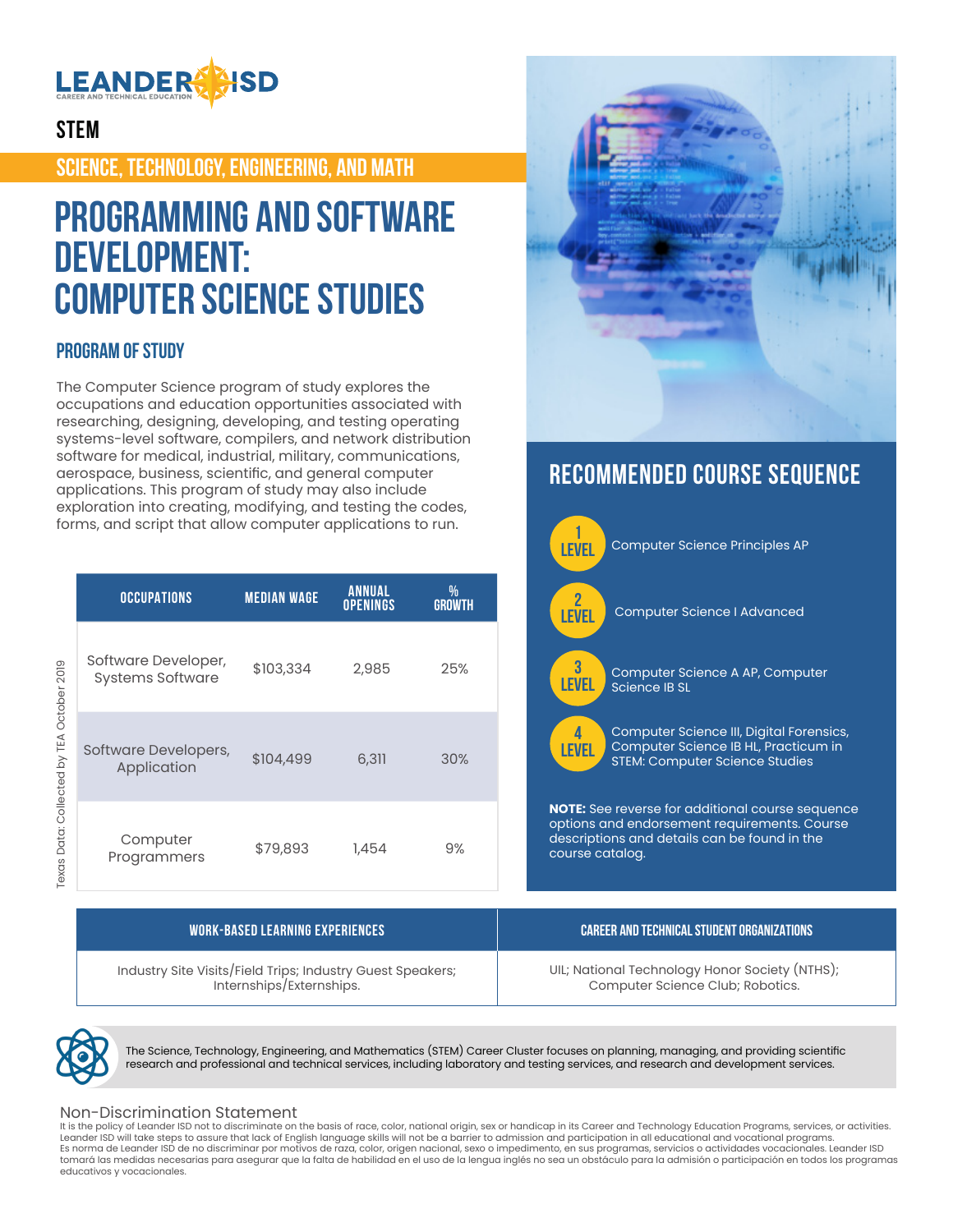

### **STEM**

**SCIENCE, TECHNOLOGY, ENGINEERING, AND MATH**

# **Programming and Software Development: Computer Science Studies**

#### **PROGRAM OF STUDY**

The Computer Science program of study explores the occupations and education opportunities associated with researching, designing, developing, and testing operating systems-level software, compilers, and network distribution software for medical, industrial, military, communications, aerospace, business, scientific, and general computer applications. This program of study may also include exploration into creating, modifying, and testing the codes, forms, and script that allow computer applications to run.

|  | <b>OCCUPATIONS</b>                             | <b>MEDIAN WAGE</b> | <b>ANNUAL</b><br><b>OPENINGS</b> | %<br><b>GROWTH</b> |
|--|------------------------------------------------|--------------------|----------------------------------|--------------------|
|  | Software Developer,<br><b>Systems Software</b> | \$103,334          | 2,985                            | 25%                |
|  | Software Developers,<br>Application            | \$104,499          | 6,311                            | 30%                |
|  | Computer<br>Programmers                        | \$79,893           | 1,454                            | 9%                 |





## **RECOMMENDED COURSE SEQUENCE**



Industry Site Visits/Field Trips; Industry Guest Speakers; Internships/Externships.

Computer Science Club; Robotics.



The Science, Technology, Engineering, and Mathematics (STEM) Career Cluster focuses on planning, managing, and providing scientific research and professional and technical services, including laboratory and testing services, and research and development services.

#### Non-Discrimination Statement

It is the policy of Leander ISD not to discriminate on the basis of race, color, national origin, sex or handicap in its Career and Technology Education Programs, services, or activities. Leander ISD will take steps to assure that lack of English language skills will not be a barrier to admission and participation in all educational and vocational programs. Es norma de Leander ISD de no discriminar por motivos de raza, color, origen nacional, sexo o impedimento, en sus programas, servicios o actividades vocacionales. Leander ISD tomará las medidas necesarias para asegurar que la falta de habilidad en el uso de la lengua inglés no sea un obstáculo para la admisión o participación en todos los programas educativos y vocacionales.